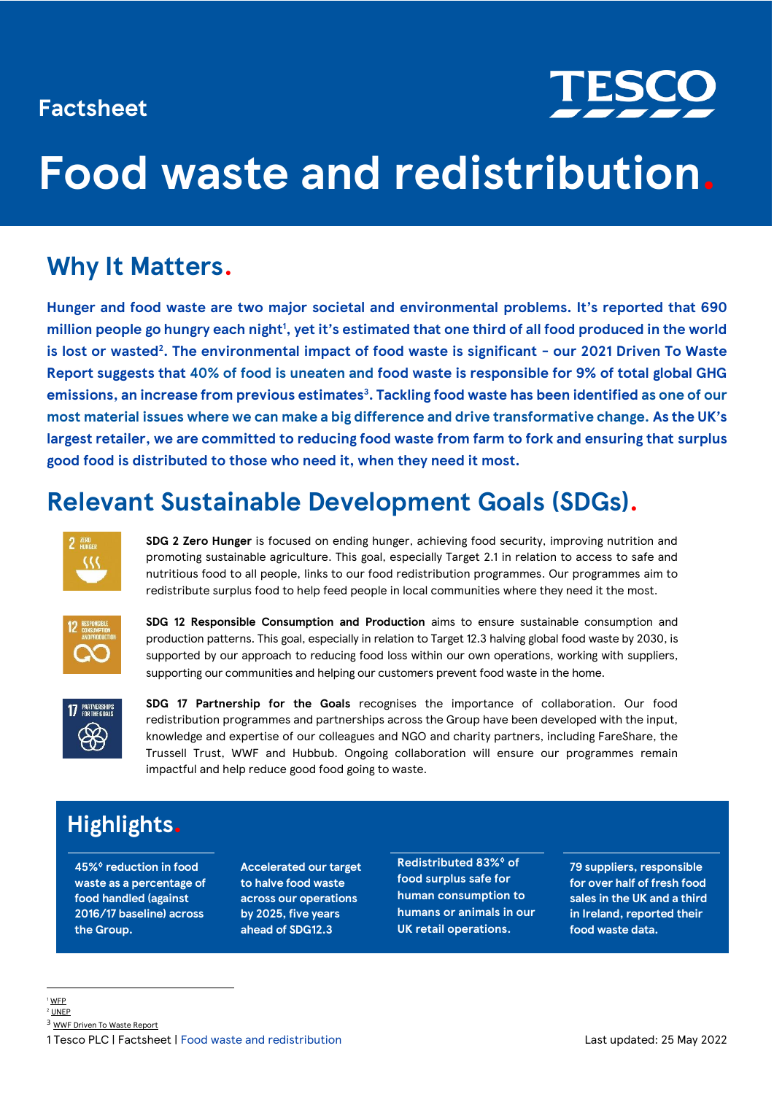### **Factsheet**



# **Food waste and redistribution.**

# **Why It Matters.**

**Hunger and food waste are two major societal and environmental problems. It's reported that 690 million people go hungry each night<sup>1</sup> , yet it's estimated that one third of all food produced in the world is lost or wasted<sup>2</sup> . The environmental impact of food waste is significant - our 2021 Driven To Waste Report suggests that 40% of food is uneaten and food waste is responsible for 9% of total global GHG emissions, an increase from previous estimates<sup>3</sup> . Tackling food waste has been identified as one of our most material issues where we can make a big difference and drive transformative change. As the UK's largest retailer, we are committed to reducing food waste from farm to fork and ensuring that surplus good food is distributed to those who need it, when they need it most.**

# **Relevant Sustainable Development Goals (SDGs).**



**SDG 2 Zero Hunger** is focused on ending hunger, achieving food security, improving nutrition and promoting sustainable agriculture. This goal, especially Target 2.1 in relation to access to safe and nutritious food to all people, links to our food redistribution programmes. Our programmes aim to redistribute surplus food to help feed people in local communities where they need it the most.



**SDG 12 Responsible Consumption and Production** aims to ensure sustainable consumption and production patterns. This goal, especially in relation to Target 12.3 halving global food waste by 2030, is supported by our approach to reducing food loss within our own operations, working with suppliers, supporting our communities and helping our customers prevent food waste in the home.



**SDG 17 Partnership for the Goals** recognises the importance of collaboration. Our food redistribution programmes and partnerships across the Group have been developed with the input, knowledge and expertise of our colleagues and NGO and charity partners, including FareShare, the Trussell Trust, WWF and Hubbub. Ongoing collaboration will ensure our programmes remain impactful and help reduce good food going to waste.

## **Highlights.**

**45%**♢ **reduction in food waste as a percentage of food handled (against 2016/17 baseline) across the Group.**

**Accelerated our target to halve food waste across our operations by 2025, five years ahead of SDG12.3**

**Redistributed 83%**♢ **of food surplus safe for human consumption to humans or animals in our UK retail operations.** 

**79 suppliers, responsible for over half of fresh food sales in the UK and a third in Ireland, reported their food waste data.** 

<sup>1</sup> [WFP](https://www.wfp.org/support-us/stories/donate)  $2$  I INFP

<sup>3</sup> [WWF Driven To Waste Report](https://wwfint.awsassets.panda.org/downloads/wwf_uk__driven_to_waste___the_global_impact_of_food_loss_and_waste_on_farms.pdf)

<sup>1</sup> Tesco PLC | Factsheet | Food waste and redistribution Last updated: 25 May 2022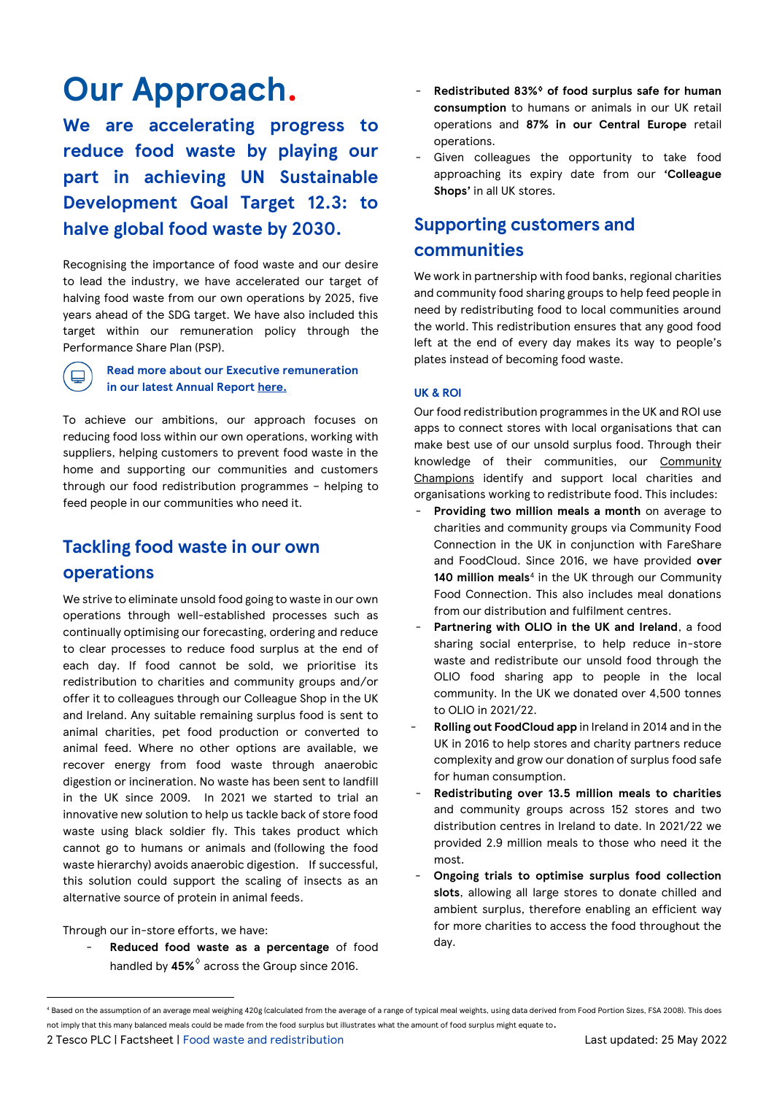# **Our Approach.**

**We are accelerating progress to reduce food waste by playing our part in achieving UN Sustainable Development Goal Target 12.3: to halve global food waste by 2030.** 

Recognising the importance of food waste and our desire to lead the industry, we have accelerated our target of halving food waste from our own operations by 2025, five years ahead of the SDG target. We have also included this target within our remuneration policy through the Performance Share Plan (PSP).



### **Read more about our Executive remuneration in our latest Annual Report [here.](http://www.tescoplc.com/ar22)**

To achieve our ambitions, our approach focuses on reducing food loss within our own operations, working with suppliers, helping customers to prevent food waste in the home and supporting our communities and customers through our food redistribution programmes – helping to feed people in our communities who need it.

### **Tackling food waste in our own operations**

We strive to eliminate unsold food going to waste in our own operations through well-established processes such as continually optimising our forecasting, ordering and reduce to clear processes to reduce food surplus at the end of each day. If food cannot be sold, we prioritise its redistribution to charities and community groups and/or offer it to colleagues through our Colleague Shop in the UK and Ireland. Any suitable remaining surplus food is sent to animal charities, pet food production or converted to animal feed. Where no other options are available, we recover energy from food waste through anaerobic digestion or incineration. No waste has been sent to landfill in the UK since 2009. In 2021 we started to trial an innovative new solution to help us tackle back of store food waste using black soldier fly. This takes product which cannot go to humans or animals and (following the food waste hierarchy) avoids anaerobic digestion. If successful, this solution could support the scaling of insects as an alternative source of protein in animal feeds.

Through our in-store efforts, we have:

- **Reduced food waste as a percentage** of food handled by **45%**♢ across the Group since 2016.

- **Redistributed 83%**♢ **of food surplus safe for human consumption** to humans or animals in our UK retail operations and **87% in our Central Europe** retail operations.
- Given colleagues the opportunity to take food approaching its expiry date from our **'Colleague Shops'** in all UK stores.

### **Supporting customers and communities**

We work in partnership with food banks, regional charities and community food sharing groups to help feed people in need by redistributing food to local communities around the world. This redistribution ensures that any good food left at the end of every day makes its way to people's plates instead of becoming food waste.

### **UK & ROI**

Our food redistribution programmes in the UK and ROI use apps to connect stores with local organisations that can make best use of our unsold surplus food. Through their knowledge of their communities, our [Community](https://www.tescoplc.com/sustainability/taking-action/community/community-champions/)  [Champions](https://www.tescoplc.com/sustainability/taking-action/community/community-champions/) identify and support local charities and organisations working to redistribute food. This includes:

- Providing two million meals a month on average to charities and community groups via Community Food Connection in the UK in conjunction with FareShare and FoodCloud. Since 2016, we have provided **over**  140 million meals<sup>4</sup> in the UK through our Community Food Connection. This also includes meal donations from our distribution and fulfilment centres.
- Partnering with OLIO in the UK and Ireland, a food sharing social enterprise, to help reduce in-store waste and redistribute our unsold food through the OLIO food sharing app to people in the local community. In the UK we donated over 4,500 tonnes to OLIO in 2021/22.
- **Rolling out FoodCloud app** in Ireland in 2014 and in the UK in 2016 to help stores and charity partners reduce complexity and grow our donation of surplus food safe for human consumption.
- **Redistributing over 13.5 million meals to charities** and community groups across 152 stores and two distribution centres in Ireland to date. In 2021/22 we provided 2.9 million meals to those who need it the most.
- **Ongoing trials to optimise surplus food collection slots**, allowing all large stores to donate chilled and ambient surplus, therefore enabling an efficient way for more charities to access the food throughout the day.

2 Tesco PLC | Factsheet | Food waste and redistribution Last updated: 25 May 2022

<sup>4</sup> Based on the assumption of an average meal weighing 420g (calculated from the average of a range of typical meal weights, using data derived from Food Portion Sizes, FSA 2008). This does not imply that this many balanced meals could be made from the food surplus but illustrates what the amount of food surplus might equate to.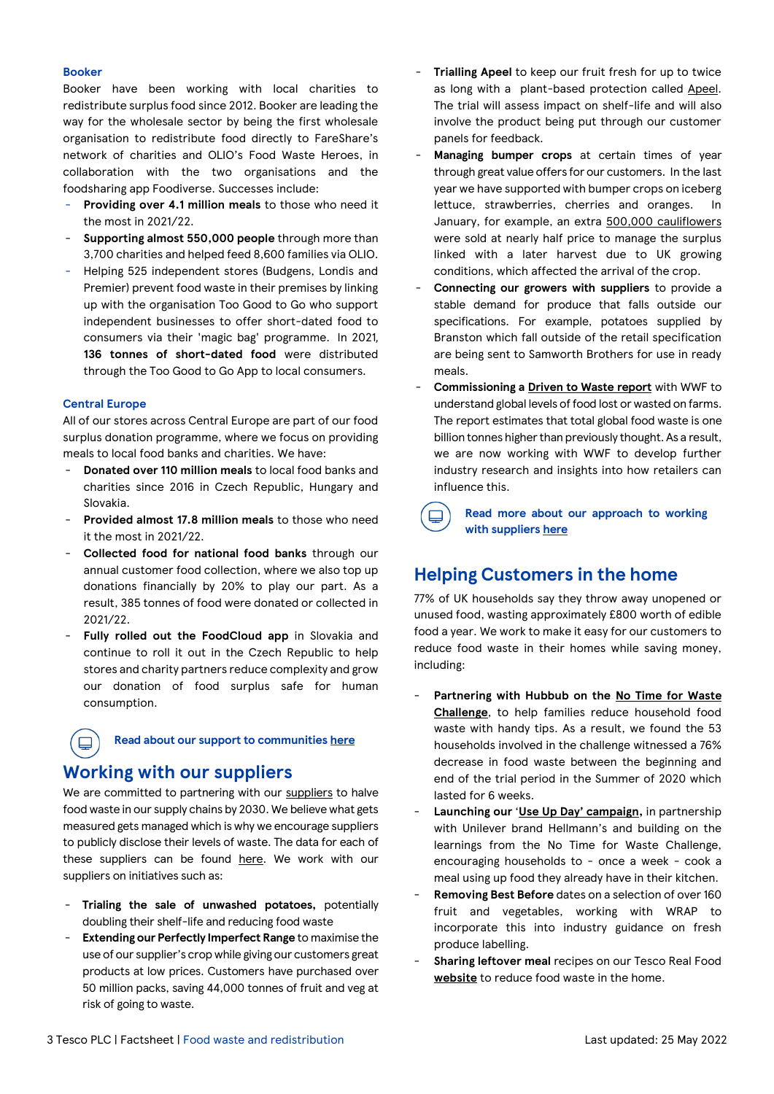#### **Booker**

Booker have been working with local charities to redistribute surplus food since 2012. Booker are leading the way for the wholesale sector by being the first wholesale organisation to redistribute food directly to FareShare's network of charities and OLIO's Food Waste Heroes, in collaboration with the two organisations and the foodsharing app Foodiverse. Successes include:

- **Providing over 4.1 million meals** to those who need it the most in 2021/22.
- **Supporting almost 550,000 people** through more than 3,700 charities and helped feed 8,600 families via OLIO.
- Helping 525 independent stores (Budgens, Londis and Premier) prevent food waste in their premises by linking up with the organisation Too Good to Go who support independent businesses to offer short-dated food to consumers via their 'magic bag' programme. In 2021, **136 tonnes of short-dated food** were distributed through the Too Good to Go App to local consumers.

#### **Central Europe**

 $\Box$ 

All of our stores across Central Europe are part of our food surplus donation programme, where we focus on providing meals to local food banks and charities. We have:

- **Donated over 110 million meals** to local food banks and charities since 2016 in Czech Republic, Hungary and Slovakia.
- Provided almost 17.8 million meals to those who need it the most in 2021/22.
- **Collected food for national food banks** through our annual customer food collection, where we also top up donations financially by 20% to play our part. As a result, 385 tonnes of food were donated or collected in 2021/22.
- **Fully rolled out the FoodCloud app** in Slovakia and continue to roll it out in the Czech Republic to help stores and charity partners reduce complexity and grow our donation of food surplus safe for human consumption.

### **Read about our support to communitie[s here](https://www.tescoplc.com/sustainability/taking-action/environment/food-waste/supporting-communities-with-food-distribution/)**

### **Working with our suppliers**

We are committed to partnering with ou[r suppliers](https://www.tescoplc.com/sustainability/taking-action/environment/food-waste/working-with-suppliers/) to halve food waste in our supply chains by 2030. We believe what gets measured gets managed which is why we encourage suppliers to publicly disclose their levels of waste. The data for each of these suppliers can be found [here.](https://www.tescoplc.com/sustainability/taking-action/environment/food-waste/working-with-suppliers/) We work with our suppliers on initiatives such as:

- **Trialing the sale of unwashed potatoes,** potentially doubling their shelf-life and reducing food waste
- **Extending our Perfectly Imperfect Range** to maximise the use of our supplier's crop while giving our customers great products at low prices. Customers have purchased over 50 million packs, saving 44,000 tonnes of fruit and veg at risk of going to waste.
- **Trialling Apeel** to keep our fruit fresh for up to twice as long with a plant-based protection called [Apeel.](https://www.tescoplc.com/news/2022/tesco-to-trial-apeel-plant-based-protection-for-fruit-to-extend-shelf-life-and-reduce-food-waste/) The trial will assess impact on shelf-life and will also involve the product being put through our customer panels for feedback.
- Managing bumper crops at certain times of year through great value offers for our customers. In the last year we have supported with bumper crops on iceberg lettuce, strawberries, cherries and oranges. In January, for example, an extra [500,000 cauliflowers](https://www.tescoplc.com/news/2022/tesco-helps-uk-cauliflower-growers/) were sold at nearly half price to manage the surplus linked with a later harvest due to UK growing conditions, which affected the arrival of the crop.
- **Connecting our growers with suppliers** to provide a stable demand for produce that falls outside our specifications. For example, potatoes supplied by Branston which fall outside of the retail specification are being sent to Samworth Brothers for use in ready meals.
- **Commissioning a [Driven to Waste report](https://wwfint.awsassets.panda.org/downloads/wwf_uk__driven_to_waste___the_global_impact_of_food_loss_and_waste_on_farms.pdf)** with WWF to understand global levels of food lost or wasted on farms. The report estimates that total global food waste is one billion tonnes higher than previously thought. As a result, we are now working with WWF to develop further industry research and insights into how retailers can influence this.

 $\Box$ **Read more about our approach to working with supplier[s here](https://www.tescoplc.com/sustainability/taking-action/environment/food-waste/working-with-suppliers/)**

### **Helping Customers in the home**

77% of UK households say they throw away unopened or unused food, wasting approximately £800 worth of edible food a year. We work to make it easy for our customers to reduce food waste in their homes while saving money, including:

- **Partnering with Hubbub on the [No Time for Waste](https://www.tescofoodwastechallenge.co.uk/)  [Challenge](https://www.tescofoodwastechallenge.co.uk/)**, to help families reduce household food waste with handy tips. As a result, we found the 53 households involved in the challenge witnessed a 76% decrease in food waste between the beginning and end of the trial period in the Summer of 2020 which lasted for 6 weeks.
- **Launching our** '**[Use Up Day' campaign](https://www.tescoplc.com/UseUpDay),** in partnership with Unilever brand Hellmann's and building on the learnings from the No Time for Waste Challenge, encouraging households to - once a week - cook a meal using up food they already have in their kitchen.
- Removing Best Before dates on a selection of over 160 fruit and vegetables, working with WRAP to incorporate this into industry guidance on fresh produce labelling.
- **Sharing leftover meal** recipes on our Tesco Real Food **[website](https://realfood.tesco.com/recipes/collections/leftovers.html)** to reduce food waste in the home.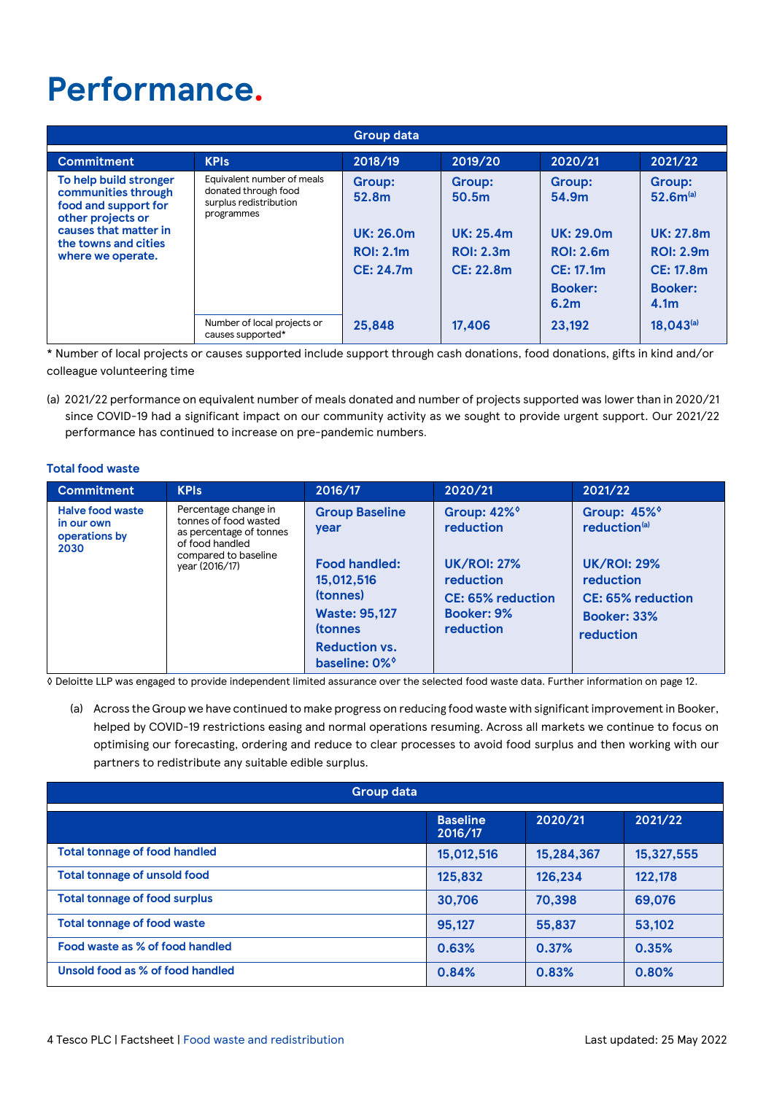# **Performance.**

|                                                                                                                                                                  | <b>Group data</b>                                                                          |                                                                             |                                                                                                |                                                                                                            |                                                                                                                                         |  |  |
|------------------------------------------------------------------------------------------------------------------------------------------------------------------|--------------------------------------------------------------------------------------------|-----------------------------------------------------------------------------|------------------------------------------------------------------------------------------------|------------------------------------------------------------------------------------------------------------|-----------------------------------------------------------------------------------------------------------------------------------------|--|--|
| <b>Commitment</b>                                                                                                                                                | <b>KPIs</b>                                                                                | 2018/19                                                                     | 2019/20                                                                                        | 2020/21                                                                                                    | 2021/22                                                                                                                                 |  |  |
| To help build stronger<br>communities through<br>food and support for<br>other projects or<br>causes that matter in<br>the towns and cities<br>where we operate. | Equivalent number of meals<br>donated through food<br>surplus redistribution<br>programmes | Group:<br>52.8m<br><b>UK: 26.0m</b><br><b>ROI: 2.1m</b><br><b>CE: 24.7m</b> | <b>Group:</b><br>50.5 <sub>m</sub><br><b>UK: 25.4m</b><br><b>ROI: 2.3m</b><br><b>CE: 22.8m</b> | Group:<br>54.9m<br><b>UK: 29.0m</b><br><b>ROI: 2.6m</b><br>CE: 17.1m<br><b>Booker:</b><br>6.2 <sub>m</sub> | <b>Group:</b><br>52.6m <sup>(a)</sup><br><b>UK: 27.8m</b><br><b>ROI: 2.9m</b><br><b>CE: 17.8m</b><br><b>Booker:</b><br>4.1 <sub>m</sub> |  |  |
|                                                                                                                                                                  | Number of local projects or<br>causes supported*                                           | 25,848                                                                      | 17,406                                                                                         | 23.192                                                                                                     | $18,043^{(a)}$                                                                                                                          |  |  |

\* Number of local projects or causes supported include support through cash donations, food donations, gifts in kind and/or colleague volunteering time

(a) 2021/22 performance on equivalent number of meals donated and number of projects supported was lower than in 2020/21 since COVID-19 had a significant impact on our community activity as we sought to provide urgent support. Our 2021/22 performance has continued to increase on pre-pandemic numbers.

### **Total food waste**

| <b>Commitment</b>                                              | <b>KPIs</b>                                                                                                                           | 2016/17                                                                                                                                                                         | 2020/21                                                                                                                               | 2021/22                                                                                                                                  |
|----------------------------------------------------------------|---------------------------------------------------------------------------------------------------------------------------------------|---------------------------------------------------------------------------------------------------------------------------------------------------------------------------------|---------------------------------------------------------------------------------------------------------------------------------------|------------------------------------------------------------------------------------------------------------------------------------------|
| <b>Halve food waste</b><br>in our own<br>operations by<br>2030 | Percentage change in<br>tonnes of food wasted<br>as percentage of tonnes<br>of food handled<br>compared to baseline<br>year (2016/17) | <b>Group Baseline</b><br>year<br><b>Food handled:</b><br>15,012,516<br>(tonnes)<br><b>Waste: 95,127</b><br><b>(tonnes)</b><br><b>Reduction vs.</b><br>baseline: 0% <sup>o</sup> | Group: 42% <sup>o</sup><br>reduction<br><b>UK/ROI: 27%</b><br>reduction<br><b>CE: 65% reduction</b><br><b>Booker: 9%</b><br>reduction | Group: 45%<br>reduction <sup>(a)</sup><br><b>UK/ROI: 29%</b><br>reduction<br><b>CE: 65% reduction</b><br><b>Booker: 33%</b><br>reduction |

◊ Deloitte LLP was engaged to provide independent limited assurance over the selected food waste data. Further information on page 12.

(a) Across the Group we have continued to make progress on reducing food waste with significant improvement in Booker, helped by COVID-19 restrictions easing and normal operations resuming. Across all markets we continue to focus on optimising our forecasting, ordering and reduce to clear processes to avoid food surplus and then working with our partners to redistribute any suitable edible surplus.

| <b>Group data</b>                    |                            |            |            |  |  |
|--------------------------------------|----------------------------|------------|------------|--|--|
|                                      | <b>Baseline</b><br>2016/17 | 2020/21    | 2021/22    |  |  |
| <b>Total tonnage of food handled</b> | 15,012,516                 | 15,284,367 | 15,327,555 |  |  |
| <b>Total tonnage of unsold food</b>  | 125,832                    | 126,234    | 122,178    |  |  |
| <b>Total tonnage of food surplus</b> | 30,706                     | 70,398     | 69,076     |  |  |
| <b>Total tonnage of food waste</b>   | 95.127                     | 55,837     | 53.102     |  |  |
| Food waste as % of food handled      | 0.63%                      | 0.37%      | 0.35%      |  |  |
| Unsold food as % of food handled     | 0.84%                      | 0.83%      | 0.80%      |  |  |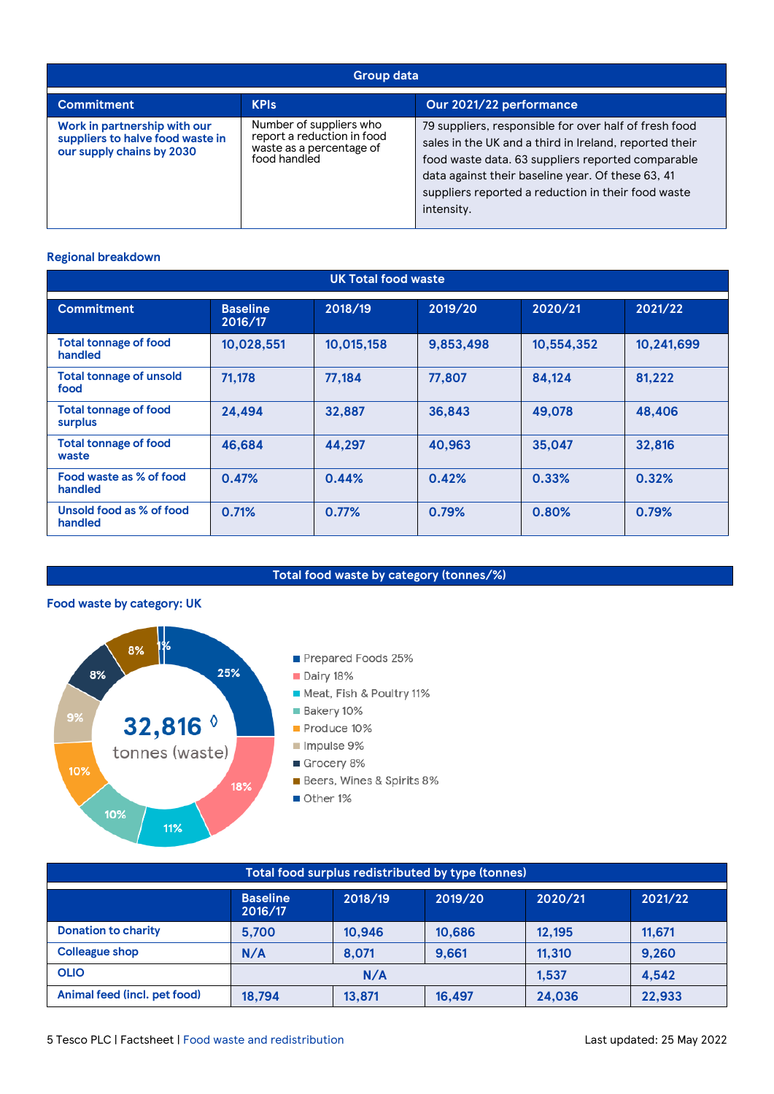| <b>Group data</b>                                                                             |                                                                                                   |                                                                                                                                                                                                                                                                                               |  |  |  |
|-----------------------------------------------------------------------------------------------|---------------------------------------------------------------------------------------------------|-----------------------------------------------------------------------------------------------------------------------------------------------------------------------------------------------------------------------------------------------------------------------------------------------|--|--|--|
| <b>Commitment</b>                                                                             | <b>KPIs</b>                                                                                       | Our 2021/22 performance                                                                                                                                                                                                                                                                       |  |  |  |
| Work in partnership with our<br>suppliers to halve food waste in<br>our supply chains by 2030 | Number of suppliers who<br>report a reduction in food<br>waste as a percentage of<br>food handled | 79 suppliers, responsible for over half of fresh food<br>sales in the UK and a third in Ireland, reported their<br>food waste data. 63 suppliers reported comparable<br>data against their baseline year. Of these 63, 41<br>suppliers reported a reduction in their food waste<br>intensity. |  |  |  |

### **Regional breakdown**

| <b>UK Total food waste</b>              |                            |            |           |            |            |  |
|-----------------------------------------|----------------------------|------------|-----------|------------|------------|--|
| <b>Commitment</b>                       | <b>Baseline</b><br>2016/17 | 2018/19    | 2019/20   | 2020/21    | 2021/22    |  |
| <b>Total tonnage of food</b><br>handled | 10,028,551                 | 10,015,158 | 9,853,498 | 10,554,352 | 10,241,699 |  |
| <b>Total tonnage of unsold</b><br>food  | 71,178                     | 77,184     | 77,807    | 84,124     | 81,222     |  |
| <b>Total tonnage of food</b><br>surplus | 24,494                     | 32,887     | 36,843    | 49,078     | 48,406     |  |
| <b>Total tonnage of food</b><br>waste   | 46,684                     | 44,297     | 40,963    | 35,047     | 32,816     |  |
| Food waste as % of food<br>handled      | 0.47%                      | 0.44%      | 0.42%     | 0.33%      | 0.32%      |  |
| Unsold food as % of food<br>handled     | 0.71%                      | 0.77%      | 0.79%     | 0.80%      | 0.79%      |  |

### **Total food waste by category (tonnes/%)**

### **Food waste by category: UK**



| Total food surplus redistributed by type (tonnes)                      |        |        |        |        |        |  |
|------------------------------------------------------------------------|--------|--------|--------|--------|--------|--|
| 2018/19<br>2019/20<br>2020/21<br><b>Baseline</b><br>2021/22<br>2016/17 |        |        |        |        |        |  |
| <b>Donation to charity</b>                                             | 5.700  | 10.946 | 10.686 | 12.195 | 11.671 |  |
| <b>Colleague shop</b>                                                  | N/A    | 8.071  | 9.661  | 11.310 | 9,260  |  |
| <b>OLIO</b>                                                            | N/A    |        |        | 1.537  | 4,542  |  |
| Animal feed (incl. pet food)                                           | 18,794 | 13,871 | 16.497 | 24,036 | 22,933 |  |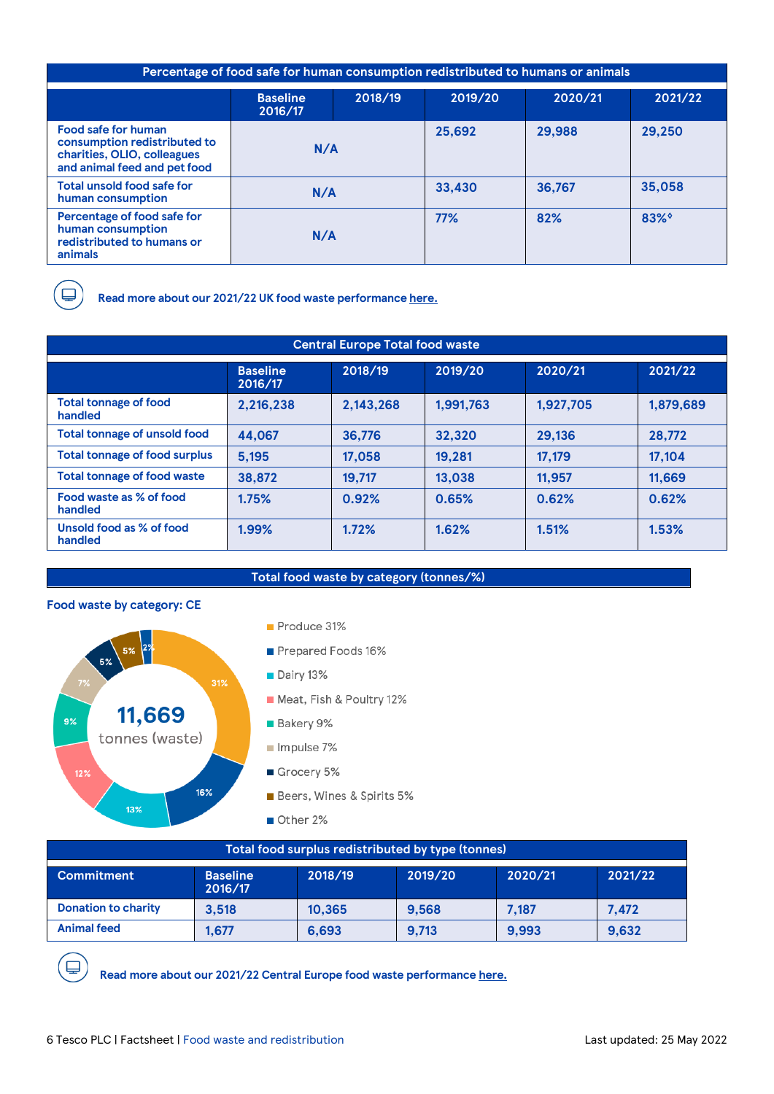| Percentage of food safe for human consumption redistributed to humans or animals                                          |                            |         |         |         |         |  |
|---------------------------------------------------------------------------------------------------------------------------|----------------------------|---------|---------|---------|---------|--|
|                                                                                                                           | <b>Baseline</b><br>2016/17 | 2018/19 | 2019/20 | 2020/21 | 2021/22 |  |
| <b>Food safe for human</b><br>consumption redistributed to<br>charities, OLIO, colleagues<br>and animal feed and pet food | N/A                        |         | 25,692  | 29,988  | 29,250  |  |
| Total unsold food safe for<br>human consumption                                                                           | N/A                        |         | 33,430  | 36,767  | 35,058  |  |
| Percentage of food safe for<br>human consumption<br>redistributed to humans or<br>animals                                 | N/A                        |         | 77%     | 82%     | $83\%$  |  |

**Read more about our 2021/22 UK food waste performanc[e here.](https://www.tescoplc.com/sustainability/reporting-hub/)**

| <b>Central Europe Total food waste</b>  |                            |           |           |           |           |  |
|-----------------------------------------|----------------------------|-----------|-----------|-----------|-----------|--|
|                                         | <b>Baseline</b><br>2016/17 | 2018/19   | 2019/20   | 2020/21   | 2021/22   |  |
| <b>Total tonnage of food</b><br>handled | 2,216,238                  | 2,143,268 | 1.991.763 | 1.927.705 | 1,879,689 |  |
| <b>Total tonnage of unsold food</b>     | 44.067                     | 36.776    | 32,320    | 29,136    | 28,772    |  |
| <b>Total tonnage of food surplus</b>    | 5,195                      | 17.058    | 19.281    | 17,179    | 17.104    |  |
| <b>Total tonnage of food waste</b>      | 38,872                     | 19,717    | 13.038    | 11.957    | 11.669    |  |
| Food waste as % of food<br>handled      | 1.75%                      | 0.92%     | 0.65%     | 0.62%     | 0.62%     |  |
| Unsold food as % of food<br>handled     | 1.99%                      | 1.72%     | 1.62%     | 1.51%     | 1.53%     |  |

### **Total food waste by category (tonnes/%)**

### **Food waste by category: CE**



| Total food surplus redistributed by type (tonnes)                                           |       |        |       |       |       |  |
|---------------------------------------------------------------------------------------------|-------|--------|-------|-------|-------|--|
| 2020/21<br>2021/22<br>2018/19<br>2019/20<br><b>Baseline</b><br><b>Commitment</b><br>2016/17 |       |        |       |       |       |  |
| <b>Donation to charity</b>                                                                  | 3.518 | 10.365 | 9.568 | 7.187 | 7.472 |  |
| <b>Animal feed</b>                                                                          | 1.677 | 6,693  | 9.713 | 9.993 | 9,632 |  |



**Read more about our 2021/22 Central Europe food waste performanc[e here.](https://www.tescoplc.com/sustainability/reporting-hub/)**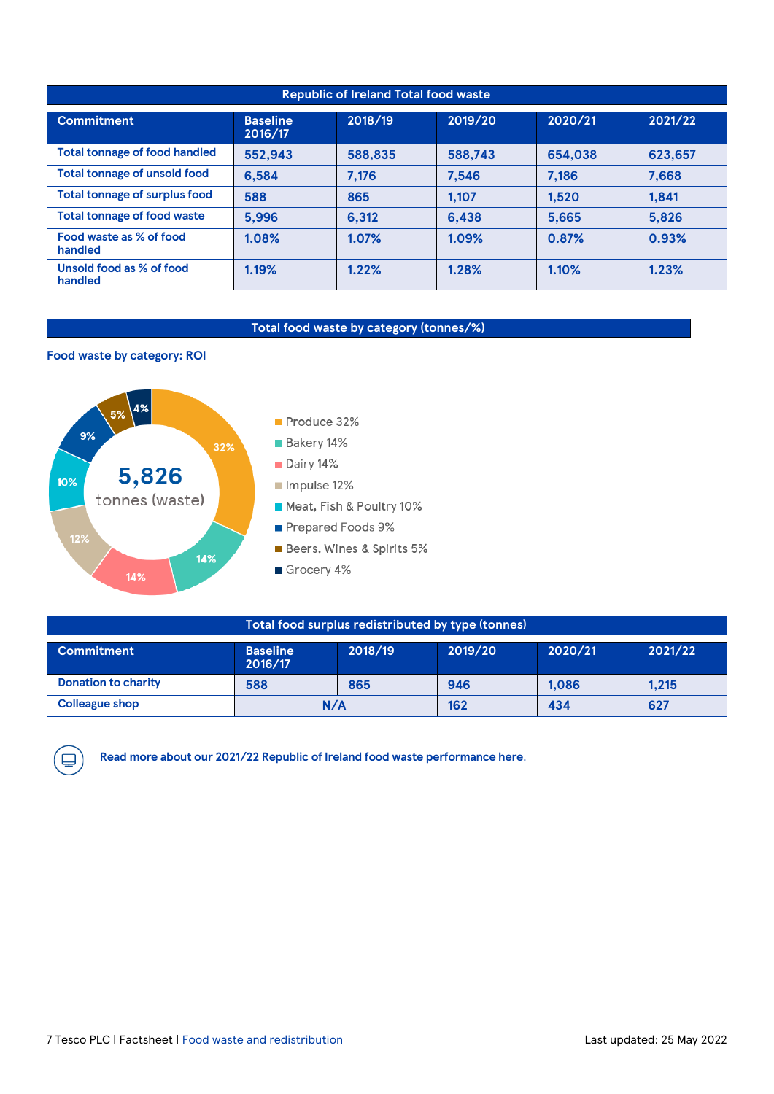| <b>Republic of Ireland Total food waste</b> |                            |         |         |         |         |
|---------------------------------------------|----------------------------|---------|---------|---------|---------|
| <b>Commitment</b>                           | <b>Baseline</b><br>2016/17 | 2018/19 | 2019/20 | 2020/21 | 2021/22 |
| <b>Total tonnage of food handled</b>        | 552,943                    | 588,835 | 588,743 | 654.038 | 623.657 |
| <b>Total tonnage of unsold food</b>         | 6,584                      | 7,176   | 7,546   | 7,186   | 7,668   |
| <b>Total tonnage of surplus food</b>        | 588                        | 865     | 1.107   | 1.520   | 1,841   |
| <b>Total tonnage of food waste</b>          | 5,996                      | 6.312   | 6.438   | 5.665   | 5.826   |
| Food waste as % of food<br>handled          | 1.08%                      | 1.07%   | 1.09%   | 0.87%   | 0.93%   |
| Unsold food as % of food<br>handled         | 1.19%                      | 1.22%   | 1.28%   | 1.10%   | 1.23%   |

### **Total food waste by category (tonnes/%)**

### **Food waste by category: ROI**



| Total food surplus redistributed by type (tonnes)                                           |     |     |     |       |       |  |
|---------------------------------------------------------------------------------------------|-----|-----|-----|-------|-------|--|
| 2020/21<br>2018/19<br>2019/20<br>2021/22<br><b>Baseline</b><br><b>Commitment</b><br>2016/17 |     |     |     |       |       |  |
| <b>Donation to charity</b>                                                                  | 588 | 865 | 946 | 1.086 | 1.215 |  |
| <b>Colleague shop</b>                                                                       | N/A |     | 162 | 434   | 627   |  |



**Read more about our 2021/22 Republic of Ireland food waste performanc[e here](https://www.tescoplc.com/sustainability/reporting-hub/)**.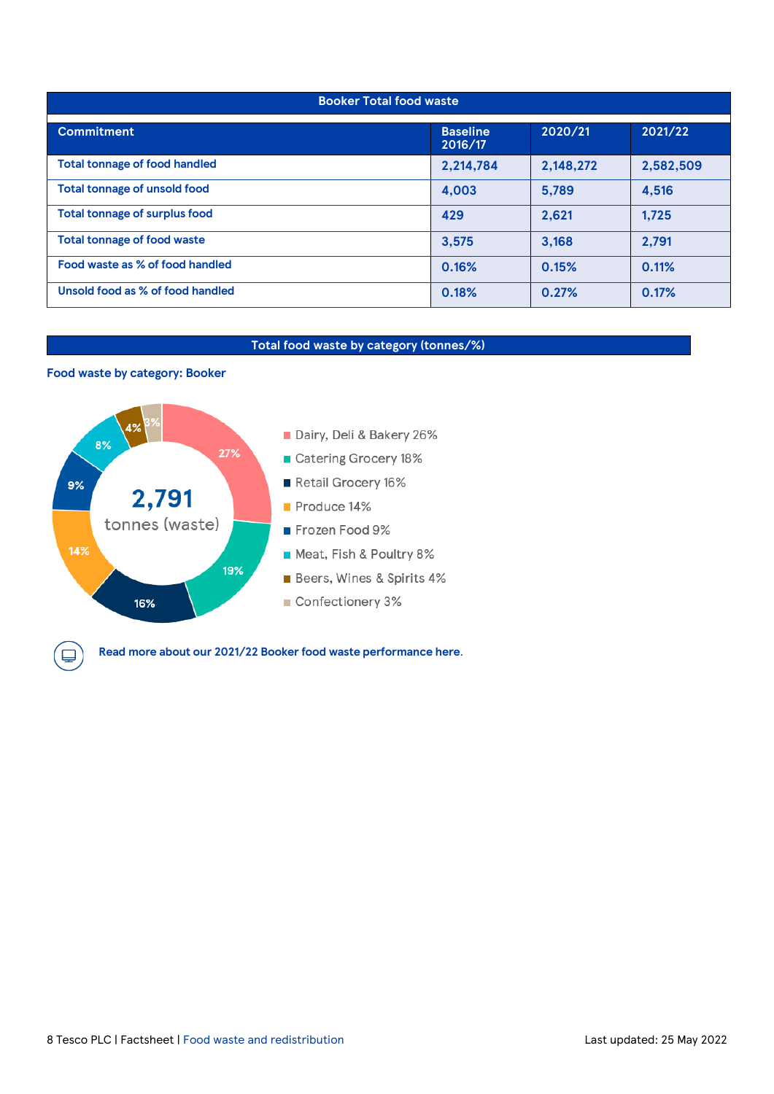| <b>Booker Total food waste</b>       |                            |           |           |  |  |
|--------------------------------------|----------------------------|-----------|-----------|--|--|
| <b>Commitment</b>                    | <b>Baseline</b><br>2016/17 | 2020/21   | 2021/22   |  |  |
| <b>Total tonnage of food handled</b> | 2,214,784                  | 2,148,272 | 2,582,509 |  |  |
| <b>Total tonnage of unsold food</b>  | 4,003                      | 5.789     | 4,516     |  |  |
| <b>Total tonnage of surplus food</b> | 429                        | 2.621     | 1.725     |  |  |
| <b>Total tonnage of food waste</b>   | 3,575                      | 3.168     | 2,791     |  |  |
| Food waste as % of food handled      | 0.16%                      | 0.15%     | 0.11%     |  |  |
| Unsold food as % of food handled     | 0.18%                      | 0.27%     | 0.17%     |  |  |

### **Total food waste by category (tonnes/%)**

### **Food waste by category: Booker**

پا



**Read more about our 2021/22 Booker food waste performanc[e here](https://www.tescoplc.com/sustainability/reporting-hub/)**.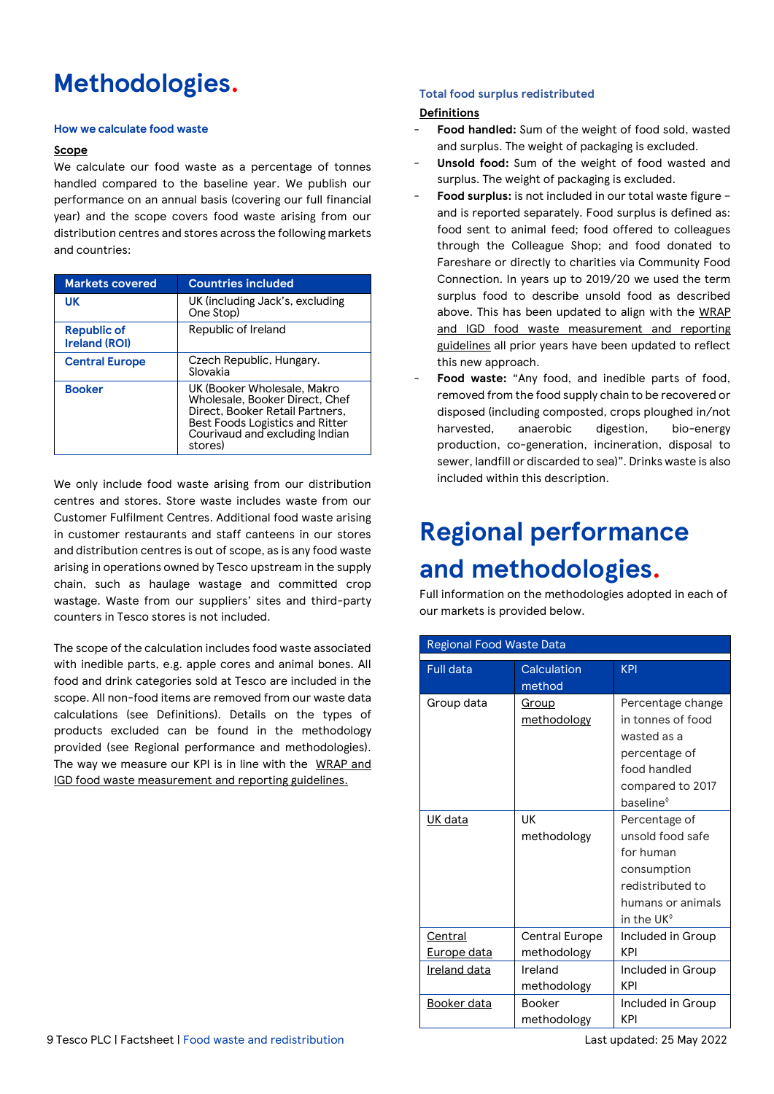# **Methodologies.**

### **How we calculate food waste**

### **Scope**

We calculate our food waste as a percentage of tonnes handled compared to the baseline year. We publish our performance on an annual basis (covering our full financial year) and the scope covers food waste arising from our distribution centres and stores across the following markets and countries:

| <b>Markets covered</b>              | <b>Countries included</b>                                                                                                                                                               |  |
|-------------------------------------|-----------------------------------------------------------------------------------------------------------------------------------------------------------------------------------------|--|
| UK                                  | UK (including Jack's, excluding<br>One Stop)                                                                                                                                            |  |
| Republic of<br><b>Ireland (ROI)</b> | Republic of Ireland                                                                                                                                                                     |  |
| <b>Central Europe</b>               | Czech Republic, Hungary.<br>Slovakia                                                                                                                                                    |  |
| <b>Booker</b>                       | UK (Booker Wholesale, Makro<br>Wholesale, Booker Direct, Chef<br>Direct, Booker Retail Partners,<br><b>Best Foods Logistics and Ritter</b><br>Courivaud and excluding Indian<br>stores) |  |

We only include food waste arising from our distribution centres and stores. Store waste includes waste from our Customer Fulfilment Centres. Additional food waste arising in customer restaurants and staff canteens in our stores and distribution centres is out of scope, as is any food waste arising in operations owned by Tesco upstream in the supply chain, such as haulage wastage and committed crop wastage. Waste from our suppliers' sites and third-party counters in Tesco stores is not included.

The scope of the calculation includes food waste associated with inedible parts, e.g. apple cores and animal bones. All food and drink categories sold at Tesco are included in the scope. All non-food items are removed from our waste data calculations (see Definitions). Details on the types of products excluded can be found in the methodology provided (see Regional performance and methodologies). The way we measure our KPI is in line with the [WRAP and](https://wrap.org.uk/sites/default/files/2020-10/Food-surplus-and-waste-measurement-and-reporting-UK-guidelines.pdf)  [IGD food waste measurement and reporting guidelines.](https://wrap.org.uk/sites/default/files/2020-10/Food-surplus-and-waste-measurement-and-reporting-UK-guidelines.pdf)

### **Total food surplus redistributed**

### **Definitions**

- Food handled: Sum of the weight of food sold, wasted and surplus. The weight of packaging is excluded.
- Unsold food: Sum of the weight of food wasted and surplus. The weight of packaging is excluded.
- **Food surplus:** is not included in our total waste figure and is reported separately. Food surplus is defined as: food sent to animal feed; food offered to colleagues through the Colleague Shop; and food donated to Fareshare or directly to charities via Community Food Connection. In years up to 2019/20 we used the term surplus food to describe unsold food as described above. This has been updated to align with the [WRAP](https://wrap.org.uk/sites/default/files/2020-10/Food-surplus-and-waste-measurement-and-reporting-UK-guidelines.pdf)  [and IGD food waste measurement and reporting](https://wrap.org.uk/sites/default/files/2020-10/Food-surplus-and-waste-measurement-and-reporting-UK-guidelines.pdf)  [guidelines](https://wrap.org.uk/sites/default/files/2020-10/Food-surplus-and-waste-measurement-and-reporting-UK-guidelines.pdf) all prior years have been updated to reflect this new approach.
- Food waste: "Any food, and inedible parts of food, removed from the food supply chain to be recovered or disposed (including composted, crops ploughed in/not harvested, anaerobic digestion, bio-energy production, co-generation, incineration, disposal to sewer, landfill or discarded to sea)". Drinks waste is also included within this description.

# **Regional performance and methodologies.**

Full information on the methodologies adopted in each of our markets is provided below.

| <b>Regional Food Waste Data</b> |                               |                                                                                                                                     |
|---------------------------------|-------------------------------|-------------------------------------------------------------------------------------------------------------------------------------|
| <b>Full data</b>                | Calculation<br>method         | <b>KPI</b>                                                                                                                          |
| Group data                      | <u>Group</u><br>methodology   | Percentage change<br>in tonnes of food<br>wasted as a<br>percentage of<br>food handled<br>compared to 2017<br>baseline <sup>®</sup> |
| UK data                         | UK<br>methodology             | Percentage of<br>unsold food safe<br>for human<br>consumption<br>redistributed to<br>humans or animals<br>in the UK $\textdegree$   |
| Central<br>Europe data          | Central Europe<br>methodology | Included in Group<br>KPI                                                                                                            |
| Ireland data                    | Ireland<br>methodology        | Included in Group<br>KPI                                                                                                            |
| Booker data                     | <b>Booker</b><br>methodology  | Included in Group<br>KPI                                                                                                            |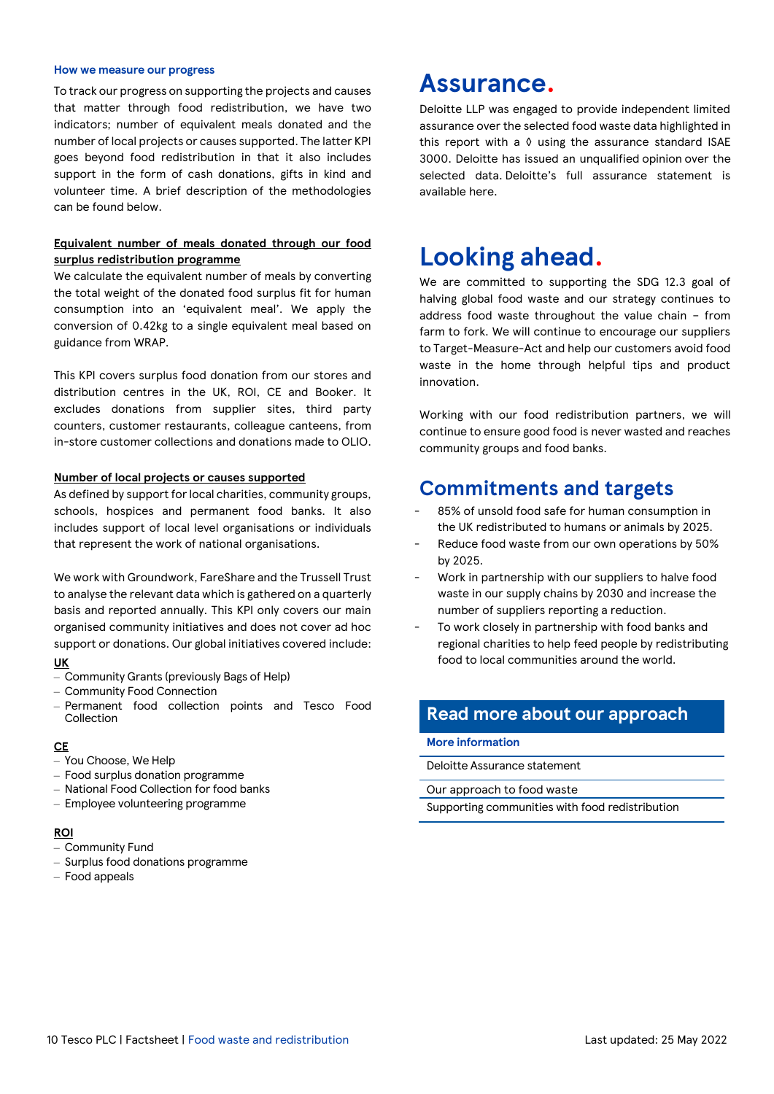#### **How we measure our progress**

To track our progress on supporting the projects and causes that matter through food redistribution, we have two indicators; number of equivalent meals donated and the number of local projects or causes supported. The latter KPI goes beyond food redistribution in that it also includes support in the form of cash donations, gifts in kind and volunteer time. A brief description of the methodologies can be found below.

### **Equivalent number of meals donated through our food surplus redistribution programme**

We calculate the equivalent number of meals by converting the total weight of the donated food surplus fit for human consumption into an 'equivalent meal'. We apply the conversion of 0.42kg to a single equivalent meal based on guidance from WRAP.

This KPI covers surplus food donation from our stores and distribution centres in the UK, ROI, CE and Booker. It excludes donations from supplier sites, third party counters, customer restaurants, colleague canteens, from in-store customer collections and donations made to OLIO.

#### **Number of local projects or causes supported**

As defined by support for local charities, community groups, schools, hospices and permanent food banks. It also includes support of local level organisations or individuals that represent the work of national organisations.

We work with Groundwork, FareShare and the Trussell Trust to analyse the relevant data which is gathered on a quarterly basis and reported annually. This KPI only covers our main organised community initiatives and does not cover ad hoc support or donations. Our global initiatives covered include:

- **UK**
- Community Grants (previously Bags of Help)
- Community Food Connection
- Permanent food collection points and Tesco Food Collection

### **CE**

- You Choose, We Help
- Food surplus donation programme
- National Food Collection for food banks
- Employee volunteering programme

#### **ROI**

- Community Fund
- Surplus food donations programme
- Food appeals

### **Assurance.**

Deloitte LLP was engaged to provide independent limited assurance over the selected food waste data highlighted in this report with a  $\Diamond$  using the assurance standard ISAE 3000. Deloitte has issued an unqualified opinion over the selected data. Deloitte's full assurance statement is available [here.](https://www.tescoplc.com/media/758924/tesco-plc-independent-assurance-report-2022-signed.pdf)

### **Looking ahead.**

We are committed to supporting the SDG 12.3 goal of halving global food waste and our strategy continues to address food waste throughout the value chain – from farm to fork. We will continue to encourage our suppliers to Target-Measure-Act and help our customers avoid food waste in the home through helpful tips and product innovation.

Working with our food redistribution partners, we will continue to ensure good food is never wasted and reaches community groups and food banks.

### **Commitments and targets**

- 85% of unsold food safe for human consumption in the UK redistributed to humans or animals by 2025.
- Reduce food waste from our own operations by 50% by 2025.
- Work in partnership with our suppliers to halve food waste in our supply chains by 2030 and increase the number of suppliers reporting a reduction.
- To work closely in partnership with food banks and regional charities to help feed people by redistributing food to local communities around the world.

### **Read more about our approach**

**More information**

[Deloitte Assurance statement](https://www.tescoplc.com/media/758924/tesco-plc-independent-assurance-report-2022-signed.pdf)

[Our approach to food waste](https://www.tescoplc.com/sustainability/taking-action/environment/food-waste/)

[Supporting communities with food redistribution](https://www.tescoplc.com/sustainability/communities/food-redistribution)